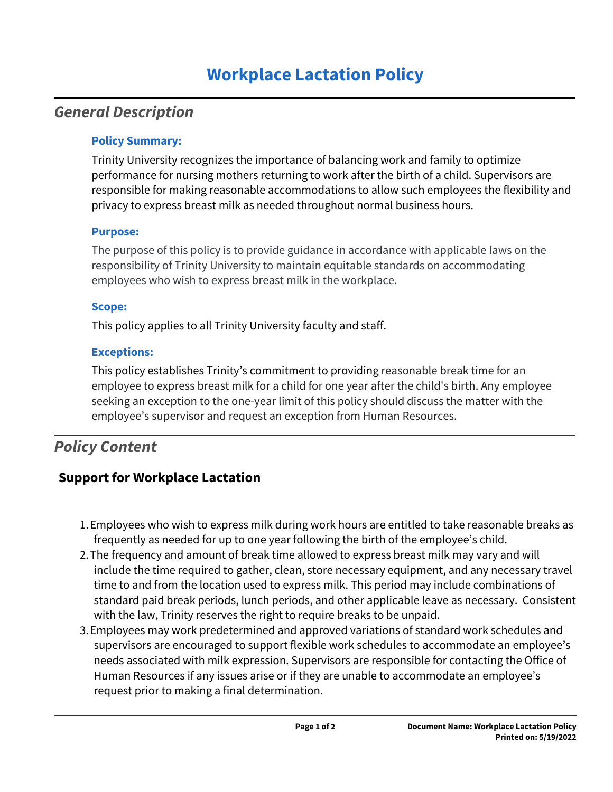# **Workplace Lactation Policy**

# *General Description*

### **Policy Summary:**

Trinity University recognizes the importance of balancing work and family to optimize performance for nursing mothers returning to work after the birth of a child. Supervisors are responsible for making reasonable accommodations to allow such employees the flexibility and privacy to express breast milk as needed throughout normal business hours.

### **Purpose:**

The purpose of this policy is to provide guidance in accordance with applicable laws on the responsibility of Trinity University to maintain equitable standards on accommodating employees who wish to express breast milk in the workplace.

## **Scope:**

This policy applies to all Trinity University faculty and staff.

## **Exceptions:**

This policy establishes Trinity's commitment to providing reasonable break time for an employee to express breast milk for a child for one year after the child's birth. Any employee seeking an exception to the one-year limit of this policy should discuss the matter with the employee's supervisor and request an exception from Human Resources.

# *Policy Content*

# **Support for Workplace Lactation**

- 1. Employees who wish to express milk during work hours are entitled to take reasonable breaks as frequently as needed for up to one year following the birth of the employee's child.
- 2. The frequency and amount of break time allowed to express breast milk may vary and will include the time required to gather, clean, store necessary equipment, and any necessary travel time to and from the location used to express milk. This period may include combinations of standard paid break periods, lunch periods, and other applicable leave as necessary. Consistent with the law, Trinity reserves the right to require breaks to be unpaid.
- 3. Employees may work predetermined and approved variations of standard work schedules and supervisors are encouraged to support flexible work schedules to accommodate an employee's needs associated with milk expression. Supervisors are responsible for contacting the Office of Human Resources if any issues arise or if they are unable to accommodate an employee's request prior to making a final determination.